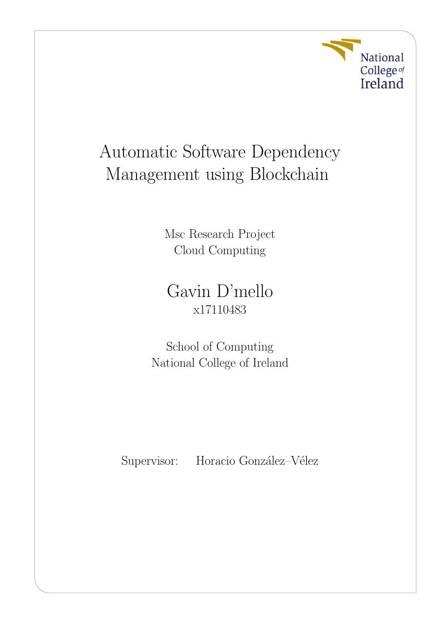

# Automatic Software Dependency Management using Blockchain

Msc Research Project Cloud Computing

Gavin D'mello x17110483

School of Computing National College of Ireland

Supervisor: Horacio González–Vélez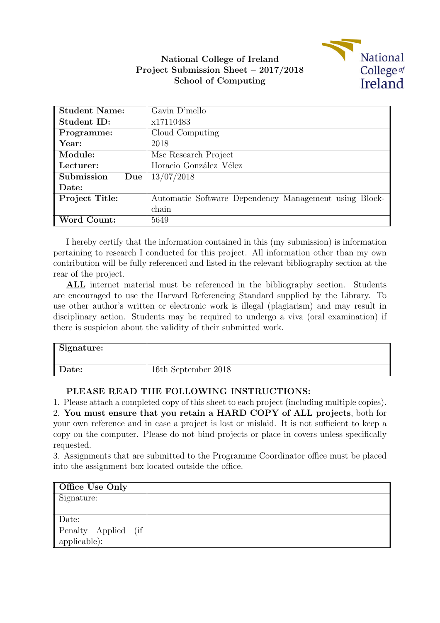

### National College of Ireland Project Submission Sheet – 2017/2018 School of Computing

| <b>Student Name:</b> | Gavin D'mello                                         |  |  |
|----------------------|-------------------------------------------------------|--|--|
| Student ID:          | x17110483                                             |  |  |
| Programme:           | Cloud Computing                                       |  |  |
| Year:                | 2018                                                  |  |  |
| Module:              | Msc Research Project                                  |  |  |
| Lecturer:            | Horacio González-Vélez                                |  |  |
| Submission<br>Due    | 13/07/2018                                            |  |  |
| Date:                |                                                       |  |  |
| Project Title:       | Automatic Software Dependency Management using Block- |  |  |
|                      | chain                                                 |  |  |
| Word Count:          | 5649                                                  |  |  |

I hereby certify that the information contained in this (my submission) is information pertaining to research I conducted for this project. All information other than my own contribution will be fully referenced and listed in the relevant bibliography section at the rear of the project.

ALL internet material must be referenced in the bibliography section. Students are encouraged to use the Harvard Referencing Standard supplied by the Library. To use other author's written or electronic work is illegal (plagiarism) and may result in disciplinary action. Students may be required to undergo a viva (oral examination) if there is suspicion about the validity of their submitted work.

| Signature: |                     |
|------------|---------------------|
| Date:      | 16th September 2018 |

#### PLEASE READ THE FOLLOWING INSTRUCTIONS:

1. Please attach a completed copy of this sheet to each project (including multiple copies).

2. You must ensure that you retain a HARD COPY of ALL projects, both for your own reference and in case a project is lost or mislaid. It is not sufficient to keep a copy on the computer. Please do not bind projects or place in covers unless specifically requested.

3. Assignments that are submitted to the Programme Coordinator office must be placed into the assignment box located outside the office.

| Office Use Only        |  |
|------------------------|--|
| Signature:             |  |
|                        |  |
| Date:                  |  |
| Penalty Applied<br>(if |  |
| $applicable)$ :        |  |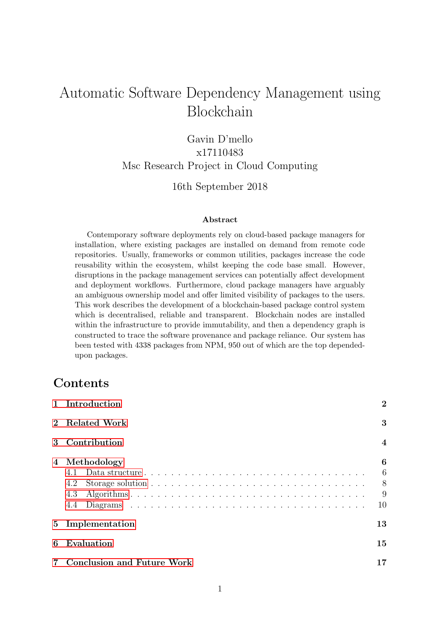## Automatic Software Dependency Management using Blockchain

### Gavin D'mello x17110483 Msc Research Project in Cloud Computing

#### 16th September 2018

#### Abstract

Contemporary software deployments rely on cloud-based package managers for installation, where existing packages are installed on demand from remote code repositories. Usually, frameworks or common utilities, packages increase the code reusability within the ecosystem, whilst keeping the code base small. However, disruptions in the package management services can potentially affect development and deployment workflows. Furthermore, cloud package managers have arguably an ambiguous ownership model and offer limited visibility of packages to the users. This work describes the development of a blockchain-based package control system which is decentralised, reliable and transparent. Blockchain nodes are installed within the infrastructure to provide immutability, and then a dependency graph is constructed to trace the software provenance and package reliance. Our system has been tested with 4338 packages from NPM, 950 out of which are the top dependedupon packages.

### Contents

|                | 1 Introduction                    | $\overline{2}$           |
|----------------|-----------------------------------|--------------------------|
| $2^{\circ}$    | <b>Related Work</b>               | 3                        |
| 3              | Contribution                      | $\overline{\mathbf{4}}$  |
| 4              | Methodology<br>4.2<br>4.3<br>4.4  | 6<br>6<br>- 8<br>9<br>10 |
| 5 <sub>1</sub> | Implementation                    | 13                       |
| 6              | Evaluation                        | 15                       |
|                | <b>Conclusion and Future Work</b> | 17                       |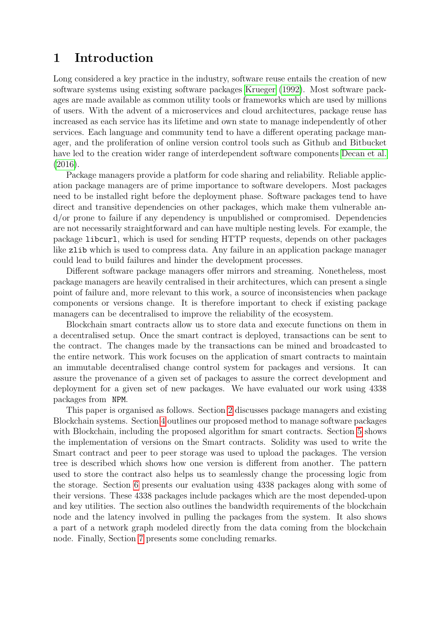### <span id="page-3-0"></span>1 Introduction

Long considered a key practice in the industry, software reuse entails the creation of new software systems using existing software packages [Krueger](#page-19-0) [\(1992\)](#page-19-0). Most software packages are made available as common utility tools or frameworks which are used by millions of users. With the advent of a microservices and cloud architectures, package reuse has increased as each service has its lifetime and own state to manage independently of other services. Each language and community tend to have a different operating package manager, and the proliferation of online version control tools such as Github and Bitbucket have led to the creation wider range of interdependent software components [Decan et al.](#page-18-1) [\(2016\)](#page-18-1).

Package managers provide a platform for code sharing and reliability. Reliable application package managers are of prime importance to software developers. Most packages need to be installed right before the deployment phase. Software packages tend to have direct and transitive dependencies on other packages, which make them vulnerable and/or prone to failure if any dependency is unpublished or compromised. Dependencies are not necessarily straightforward and can have multiple nesting levels. For example, the package libcurl, which is used for sending HTTP requests, depends on other packages like zlib which is used to compress data. Any failure in an application package manager could lead to build failures and hinder the development processes.

Different software package managers offer mirrors and streaming. Nonetheless, most package managers are heavily centralised in their architectures, which can present a single point of failure and, more relevant to this work, a source of inconsistencies when package components or versions change. It is therefore important to check if existing package managers can be decentralised to improve the reliability of the ecosystem.

Blockchain smart contracts allow us to store data and execute functions on them in a decentralised setup. Once the smart contract is deployed, transactions can be sent to the contract. The changes made by the transactions can be mined and broadcasted to the entire network. This work focuses on the application of smart contracts to maintain an immutable decentralised change control system for packages and versions. It can assure the provenance of a given set of packages to assure the correct development and deployment for a given set of new packages. We have evaluated our work using 4338 packages from NPM.

This paper is organised as follows. Section [2](#page-4-0) discusses package managers and existing Blockchain systems. Section [4](#page-7-0) outlines our proposed method to manage software packages with Blockchain, including the proposed algorithm for smart contracts. Section [5](#page-14-0) shows the implementation of versions on the Smart contracts. Solidity was used to write the Smart contract and peer to peer storage was used to upload the packages. The version tree is described which shows how one version is different from another. The pattern used to store the contract also helps us to seamlessly change the processing logic from the storage. Section [6](#page-16-0) presents our evaluation using 4338 packages along with some of their versions. These 4338 packages include packages which are the most depended-upon and key utilities. The section also outlines the bandwidth requirements of the blockchain node and the latency involved in pulling the packages from the system. It also shows a part of a network graph modeled directly from the data coming from the blockchain node. Finally, Section [7](#page-18-0) presents some concluding remarks.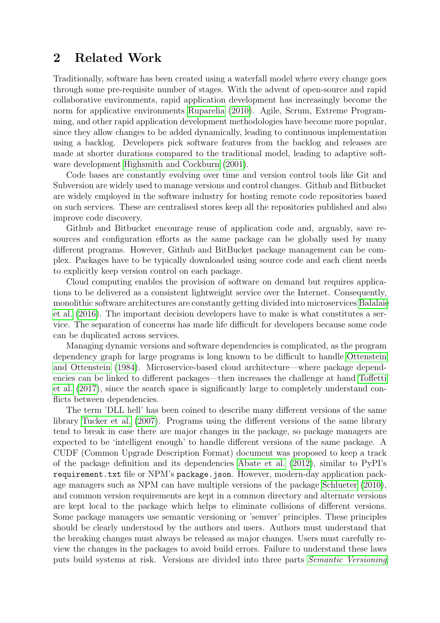### <span id="page-4-0"></span>2 Related Work

Traditionally, software has been created using a waterfall model where every change goes through some pre-requisite number of stages. With the advent of open-source and rapid collaborative environments, rapid application development has increasingly become the norm for applicative environments [Ruparelia](#page-19-1) [\(2010\)](#page-19-1). Agile, Scrum, Extreme Programming, and other rapid application development methodologies have become more popular, since they allow changes to be added dynamically, leading to continuous implementation using a backlog. Developers pick software features from the backlog and releases are made at shorter durations compared to the traditional model, leading to adaptive software development [Highsmith and Cockburn](#page-19-2) [\(2001\)](#page-19-2).

Code bases are constantly evolving over time and version control tools like Git and Subversion are widely used to manage versions and control changes. Github and Bitbucket are widely employed in the software industry for hosting remote code repositories based on such services. These are centralised stores keep all the repositories published and also improve code discovery.

Github and Bitbucket encourage reuse of application code and, arguably, save resources and configuration efforts as the same package can be globally used by many different programs. However, Github and BitBucket package management can be complex. Packages have to be typically downloaded using source code and each client needs to explicitly keep version control on each package.

Cloud computing enables the provision of software on demand but requires applications to be delivered as a consistent lightweight service over the Internet. Consequently, monolithic software architectures are constantly getting divided into microservices [Balalaie](#page-18-2) [et al.](#page-18-2) [\(2016\)](#page-18-2). The important decision developers have to make is what constitutes a service. The separation of concerns has made life difficult for developers because some code can be duplicated across services.

Managing dynamic versions and software dependencies is complicated, as the program dependency graph for large programs is long known to be difficult to handle [Ottenstein](#page-19-3) [and Ottenstein](#page-19-3) [\(1984\)](#page-19-3). Microservice-based cloud architecture—where package dependencies can be linked to different packages—then increases the challenge at hand [Toffetti](#page-19-4) [et al.](#page-19-4) [\(2017\)](#page-19-4), since the search space is significantly large to completely understand conflicts between dependencies.

The term 'DLL hell' has been coined to describe many different versions of the same library [Tucker et al.](#page-19-5) [\(2007\)](#page-19-5). Programs using the different versions of the same library tend to break in case there are major changes in the package, so package managers are expected to be 'intelligent enough' to handle different versions of the same package. A CUDF (Common Upgrade Description Format) document was proposed to keep a track of the package definition and its dependencies [Abate et al.](#page-18-3) [\(2012\)](#page-18-3), similar to PyPI's requirement.txt file or NPM's package.json. However, modern-day application package managers such as NPM can have multiple versions of the package [Schlueter](#page-19-6) [\(2010\)](#page-19-6), and common version requirements are kept in a common directory and alternate versions are kept local to the package which helps to eliminate collisions of different versions. Some package managers use semantic versioning or 'semver' principles. These principles should be clearly understood by the authors and users. Authors must understand that the breaking changes must always be released as major changes. Users must carefully review the changes in the packages to avoid build errors. Failure to understand these laws puts build systems at risk. Versions are divided into three parts [Semantic Versioning](#page-19-7)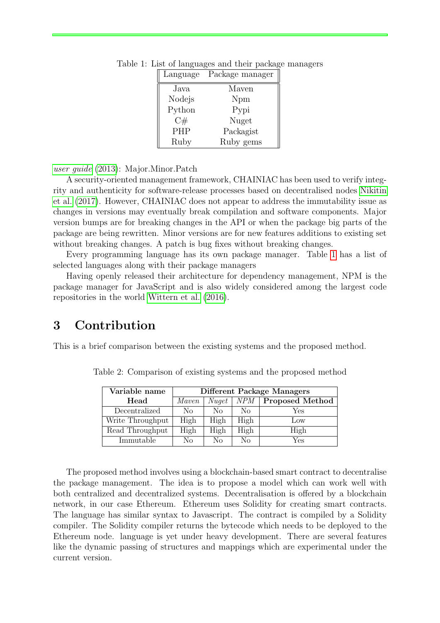<span id="page-5-1"></span>

| Language   | Package manager |
|------------|-----------------|
| Java       | Maven           |
| Nodejs     | Npm             |
| Python     | Pypi            |
| C#         | Nuget           |
| <b>PHP</b> | Packagist       |
| Ruby       | Ruby gems       |

Table 1: List of languages and their package managers

[user guide](#page-19-7) [\(2013\)](#page-19-7): Major.Minor.Patch

A security-oriented management framework, CHAINIAC has been used to verify integrity and authenticity for software-release processes based on decentralised nodes [Nikitin](#page-19-8) [et al.](#page-19-8) [\(2017\)](#page-19-8). However, CHAINIAC does not appear to address the immutability issue as changes in versions may eventually break compilation and software components. Major version bumps are for breaking changes in the API or when the package big parts of the package are being rewritten. Minor versions are for new features additions to existing set without breaking changes. A patch is bug fixes without breaking changes.

Every programming language has its own package manager. Table [1](#page-5-1) has a list of selected languages along with their package managers

Having openly released their architecture for dependency management, NPM is the package manager for JavaScript and is also widely considered among the largest code repositories in the world [Wittern et al.](#page-19-9) [\(2016\)](#page-19-9).

### <span id="page-5-0"></span>3 Contribution

This is a brief comparison between the existing systems and the proposed method.

| Variable name    | Different Package Managers |          |      |                        |  |  |  |
|------------------|----------------------------|----------|------|------------------------|--|--|--|
| Head             | Maven                      | Nuget    | NPM  | <b>Proposed Method</b> |  |  |  |
| Decentralized    | No                         | $\rm No$ | No   | Yes                    |  |  |  |
| Write Throughput | High                       | High     | High | Low                    |  |  |  |
| Read Throughput  | High                       | High     | High | High                   |  |  |  |
| Immutable        | Nο                         | Nο       | Nο   | Yes                    |  |  |  |

Table 2: Comparison of existing systems and the proposed method

The proposed method involves using a blockchain-based smart contract to decentralise the package management. The idea is to propose a model which can work well with both centralized and decentralized systems. Decentralisation is offered by a blockchain network, in our case Ethereum. Ethereum uses Solidity for creating smart contracts. The language has similar syntax to Javascript. The contract is compiled by a Solidity compiler. The Solidity compiler returns the bytecode which needs to be deployed to the Ethereum node. language is yet under heavy development. There are several features like the dynamic passing of structures and mappings which are experimental under the current version.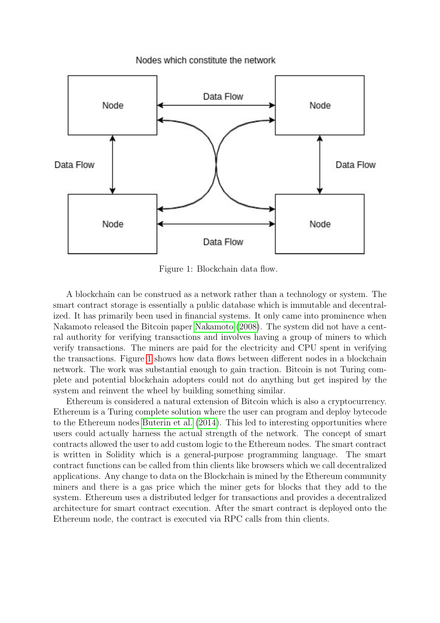

Nodes which constitute the network

<span id="page-6-0"></span>Figure 1: Blockchain data flow.

A blockchain can be construed as a network rather than a technology or system. The smart contract storage is essentially a public database which is immutable and decentralized. It has primarily been used in financial systems. It only came into prominence when Nakamoto released the Bitcoin paper [Nakamoto](#page-19-10) [\(2008\)](#page-19-10). The system did not have a central authority for verifying transactions and involves having a group of miners to which verify transactions. The miners are paid for the electricity and CPU spent in verifying the transactions. Figure [1](#page-6-0) shows how data flows between different nodes in a blockchain network. The work was substantial enough to gain traction. Bitcoin is not Turing complete and potential blockchain adopters could not do anything but get inspired by the system and reinvent the wheel by building something similar.

Ethereum is considered a natural extension of Bitcoin which is also a cryptocurrency. Ethereum is a Turing complete solution where the user can program and deploy bytecode to the Ethereum nodes [Buterin et al.](#page-18-4) [\(2014\)](#page-18-4). This led to interesting opportunities where users could actually harness the actual strength of the network. The concept of smart contracts allowed the user to add custom logic to the Ethereum nodes. The smart contract is written in Solidity which is a general-purpose programming language. The smart contract functions can be called from thin clients like browsers which we call decentralized applications. Any change to data on the Blockchain is mined by the Ethereum community miners and there is a gas price which the miner gets for blocks that they add to the system. Ethereum uses a distributed ledger for transactions and provides a decentralized architecture for smart contract execution. After the smart contract is deployed onto the Ethereum node, the contract is executed via RPC calls from thin clients.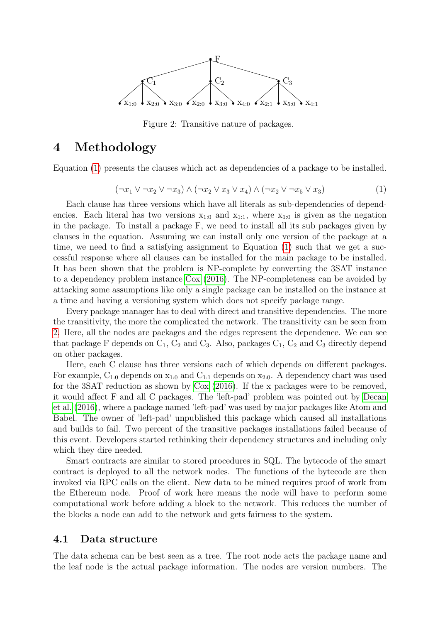

<span id="page-7-3"></span>Figure 2: Transitive nature of packages.

### <span id="page-7-0"></span>4 Methodology

Equation [\(1\)](#page-7-2) presents the clauses which act as dependencies of a package to be installed.

<span id="page-7-2"></span>
$$
(\neg x_1 \lor \neg x_2 \lor \neg x_3) \land (\neg x_2 \lor x_3 \lor x_4) \land (\neg x_2 \lor \neg x_5 \lor x_3)
$$
\n
$$
(1)
$$

Each clause has three versions which have all literals as sub-dependencies of dependencies. Each literal has two versions  $x_{1:0}$  and  $x_{1:1}$ , where  $x_{1:0}$  is given as the negation in the package. To install a package F, we need to install all its sub packages given by clauses in the equation. Assuming we can install only one version of the package at a time, we need to find a satisfying assignment to Equation [\(1\)](#page-7-2) such that we get a successful response where all clauses can be installed for the main package to be installed. It has been shown that the problem is NP-complete by converting the 3SAT instance to a dependency problem instance [Cox](#page-18-5) [\(2016\)](#page-18-5). The NP-completeness can be avoided by attacking some assumptions like only a single package can be installed on the instance at a time and having a versioning system which does not specify package range.

Every package manager has to deal with direct and transitive dependencies. The more the transitivity, the more the complicated the network. The transitivity can be seen from [2.](#page-7-3) Here, all the nodes are packages and the edges represent the dependence. We can see that package F depends on  $C_1$ ,  $C_2$  and  $C_3$ . Also, packages  $C_1$ ,  $C_2$  and  $C_3$  directly depend on other packages.

Here, each C clause has three versions each of which depends on different packages. For example,  $C_{1:0}$  depends on  $x_{1:0}$  and  $C_{1:1}$  depends on  $x_{2:0}$ . A dependency chart was used for the 3SAT reduction as shown by [Cox](#page-18-5) [\(2016\)](#page-18-5). If the x packages were to be removed, it would affect F and all C packages. The 'left-pad' problem was pointed out by [Decan](#page-18-1) [et al.](#page-18-1) [\(2016\)](#page-18-1), where a package named 'left-pad' was used by major packages like Atom and Babel. The owner of 'left-pad' unpublished this package which caused all installations and builds to fail. Two percent of the transitive packages installations failed because of this event. Developers started rethinking their dependency structures and including only which they dire needed.

Smart contracts are similar to stored procedures in SQL. The bytecode of the smart contract is deployed to all the network nodes. The functions of the bytecode are then invoked via RPC calls on the client. New data to be mined requires proof of work from the Ethereum node. Proof of work here means the node will have to perform some computational work before adding a block to the network. This reduces the number of the blocks a node can add to the network and gets fairness to the system.

#### <span id="page-7-1"></span>4.1 Data structure

The data schema can be best seen as a tree. The root node acts the package name and the leaf node is the actual package information. The nodes are version numbers. The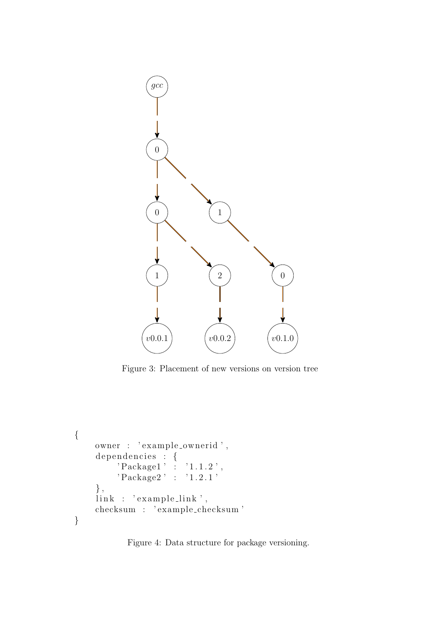

Figure 3: Placement of new versions on version tree

```
\{owner : 'example_ownerid',
     dependencies : {
           {}^{,} Package1 ' : {}^{,} 1.1.2',
           ' Package2 ' : '1.2.1'
     } ,
     \lim_{k \to \infty} : 'example_link',
     checksum : ' example checksum '
}
```
<span id="page-8-0"></span>Figure 4: Data structure for package versioning.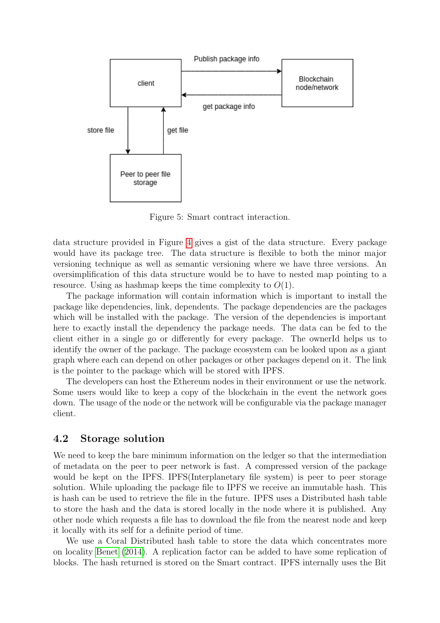

Figure 5: Smart contract interaction.

data structure provided in Figure [4](#page-8-0) gives a gist of the data structure. Every package would have its package tree. The data structure is flexible to both the minor major versioning technique as well as semantic versioning where we have three versions. An oversimplification of this data structure would be to have to nested map pointing to a resource. Using as hashmap keeps the time complexity to  $O(1)$ .

The package information will contain information which is important to install the package like dependencies, link, dependents. The package dependencies are the packages which will be installed with the package. The version of the dependencies is important here to exactly install the dependency the package needs. The data can be fed to the client either in a single go or differently for every package. The ownerId helps us to identify the owner of the package. The package ecosystem can be looked upon as a giant graph where each can depend on other packages or other packages depend on it. The link is the pointer to the package which will be stored with IPFS.

The developers can host the Ethereum nodes in their environment or use the network. Some users would like to keep a copy of the blockchain in the event the network goes down. The usage of the node or the network will be configurable via the package manager client.

#### <span id="page-9-0"></span>4.2 Storage solution

We need to keep the bare minimum information on the ledger so that the intermediation of metadata on the peer to peer network is fast. A compressed version of the package would be kept on the IPFS. IPFS(Interplanetary file system) is peer to peer storage solution. While uploading the package file to IPFS we receive an immutable hash. This is hash can be used to retrieve the file in the future. IPFS uses a Distributed hash table to store the hash and the data is stored locally in the node where it is published. Any other node which requests a file has to download the file from the nearest node and keep it locally with its self for a definite period of time.

We use a Coral Distributed hash table to store the data which concentrates more on locality [Benet](#page-18-6) [\(2014\)](#page-18-6). A replication factor can be added to have some replication of blocks. The hash returned is stored on the Smart contract. IPFS internally uses the Bit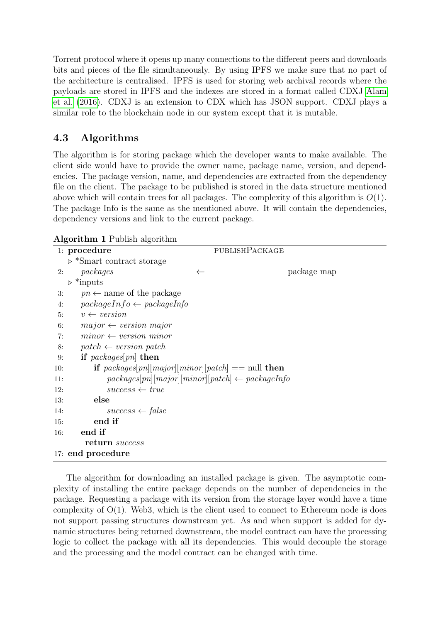Torrent protocol where it opens up many connections to the different peers and downloads bits and pieces of the file simultaneously. By using IPFS we make sure that no part of the architecture is centralised. IPFS is used for storing web archival records where the payloads are stored in IPFS and the indexes are stored in a format called CDXJ [Alam](#page-18-7) [et al.](#page-18-7) [\(2016\)](#page-18-7). CDXJ is an extension to CDX which has JSON support. CDXJ plays a similar role to the blockchain node in our system except that it is mutable.

### <span id="page-10-0"></span>4.3 Algorithms

The algorithm is for storing package which the developer wants to make available. The client side would have to provide the owner name, package name, version, and dependencies. The package version, name, and dependencies are extracted from the dependency file on the client. The package to be published is stored in the data structure mentioned above which will contain trees for all packages. The complexity of this algorithm is  $O(1)$ . The package Info is the same as the mentioned above. It will contain the dependencies, dependency versions and link to the current package.

|     | <b>Algorithm 1</b> Publish algorithm                       |              |                       |  |  |
|-----|------------------------------------------------------------|--------------|-----------------------|--|--|
|     | 1: procedure                                               |              | <b>PUBLISHPACKAGE</b> |  |  |
|     | $\triangleright$ *Smart contract storage                   |              |                       |  |  |
| 2:  | packages                                                   | $\leftarrow$ | package map           |  |  |
|     | $\triangleright$ *inputs                                   |              |                       |  |  |
| 3:  | $pn \leftarrow$ name of the package                        |              |                       |  |  |
| 4:  | $packageInfo \leftarrow packageInfo$                       |              |                       |  |  |
| 5:  | $v \leftarrow version$                                     |              |                       |  |  |
| 6:  | $major \leftarrow version major$                           |              |                       |  |  |
| 7:  | $minor \leftarrow version minor$                           |              |                       |  |  |
| 8:  | $patch \leftarrow version \; patch$                        |              |                       |  |  |
| 9:  | if $packages[pn]$ then                                     |              |                       |  |  |
| 10: | if $packages[pn][major][minor][patch] == null$ then        |              |                       |  |  |
| 11: | $packages[pn][major][minor][patch] \leftarrow packageInfo$ |              |                       |  |  |
| 12: | $success \leftarrow true$                                  |              |                       |  |  |
| 13: | else                                                       |              |                       |  |  |
| 14: | $success \leftarrow false$                                 |              |                       |  |  |
| 15: | end if                                                     |              |                       |  |  |
| 16: | end if                                                     |              |                       |  |  |
|     | return success                                             |              |                       |  |  |
|     | 17: end procedure                                          |              |                       |  |  |

The algorithm for downloading an installed package is given. The asymptotic complexity of installing the entire package depends on the number of dependencies in the package. Requesting a package with its version from the storage layer would have a time complexity of  $O(1)$ . Web3, which is the client used to connect to Ethereum node is does not support passing structures downstream yet. As and when support is added for dynamic structures being returned downstream, the model contract can have the processing logic to collect the package with all its dependencies. This would decouple the storage and the processing and the model contract can be changed with time.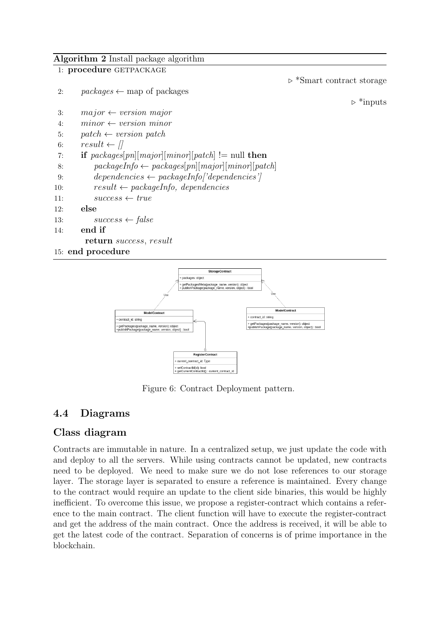Algorithm 2 Install package algorithm





<span id="page-11-1"></span>Figure 6: Contract Deployment pattern.

### <span id="page-11-0"></span>4.4 Diagrams

### Class diagram

Contracts are immutable in nature. In a centralized setup, we just update the code with and deploy to all the servers. While using contracts cannot be updated, new contracts need to be deployed. We need to make sure we do not lose references to our storage layer. The storage layer is separated to ensure a reference is maintained. Every change to the contract would require an update to the client side binaries, this would be highly inefficient. To overcome this issue, we propose a register-contract which contains a reference to the main contract. The client function will have to execute the register-contract and get the address of the main contract. Once the address is received, it will be able to get the latest code of the contract. Separation of concerns is of prime importance in the blockchain.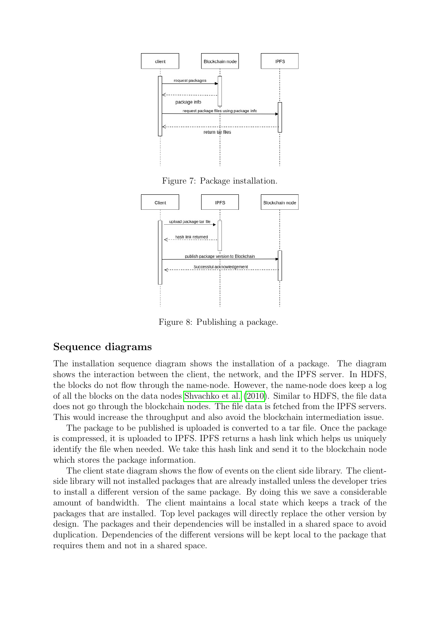

Figure 7: Package installation.



Figure 8: Publishing a package.

#### Sequence diagrams

The installation sequence diagram shows the installation of a package. The diagram shows the interaction between the client, the network, and the IPFS server. In HDFS, the blocks do not flow through the name-node. However, the name-node does keep a log of all the blocks on the data nodes [Shvachko et al.](#page-19-11) [\(2010\)](#page-19-11). Similar to HDFS, the file data does not go through the blockchain nodes. The file data is fetched from the IPFS servers. This would increase the throughput and also avoid the blockchain intermediation issue.

The package to be published is uploaded is converted to a tar file. Once the package is compressed, it is uploaded to IPFS. IPFS returns a hash link which helps us uniquely identify the file when needed. We take this hash link and send it to the blockchain node which stores the package information.

The client state diagram shows the flow of events on the client side library. The clientside library will not installed packages that are already installed unless the developer tries to install a different version of the same package. By doing this we save a considerable amount of bandwidth. The client maintains a local state which keeps a track of the packages that are installed. Top level packages will directly replace the other version by design. The packages and their dependencies will be installed in a shared space to avoid duplication. Dependencies of the different versions will be kept local to the package that requires them and not in a shared space.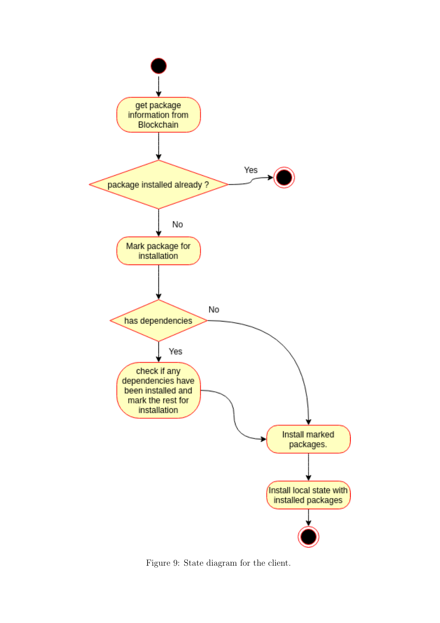

Figure 9: State diagram for the client.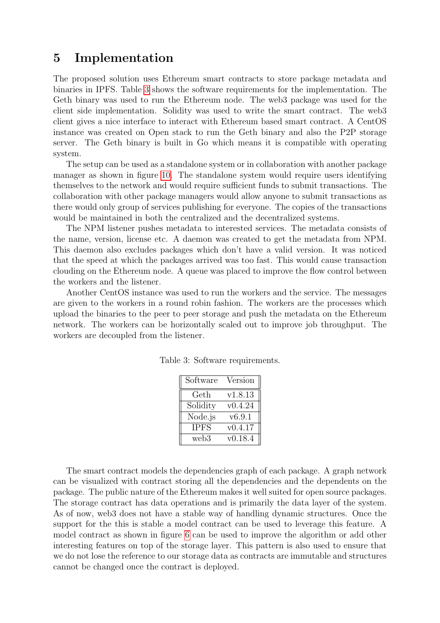### <span id="page-14-0"></span>5 Implementation

The proposed solution uses Ethereum smart contracts to store package metadata and binaries in IPFS. Table [3](#page-14-1) shows the software requirements for the implementation. The Geth binary was used to run the Ethereum node. The web3 package was used for the client side implementation. Solidity was used to write the smart contract. The web3 client gives a nice interface to interact with Ethereum based smart contract. A CentOS instance was created on Open stack to run the Geth binary and also the P2P storage server. The Geth binary is built in Go which means it is compatible with operating system.

The setup can be used as a standalone system or in collaboration with another package manager as shown in figure [10.](#page-15-0) The standalone system would require users identifying themselves to the network and would require sufficient funds to submit transactions. The collaboration with other package managers would allow anyone to submit transactions as there would only group of services publishing for everyone. The copies of the transactions would be maintained in both the centralized and the decentralized systems.

The NPM listener pushes metadata to interested services. The metadata consists of the name, version, license etc. A daemon was created to get the metadata from NPM. This daemon also excludes packages which don't have a valid version. It was noticed that the speed at which the packages arrived was too fast. This would cause transaction clouding on the Ethereum node. A queue was placed to improve the flow control between the workers and the listener.

Another CentOS instance was used to run the workers and the service. The messages are given to the workers in a round robin fashion. The workers are the processes which upload the binaries to the peer to peer storage and push the metadata on the Ethereum network. The workers can be horizontally scaled out to improve job throughput. The workers are decoupled from the listener.

<span id="page-14-1"></span>

| Software              | Version |
|-----------------------|---------|
| $\operatorname{Geth}$ | v1.8.13 |
| Solidity              | v0.4.24 |
| Node.js               | v6.9.1  |
| <b>IPFS</b>           | v0.4.17 |
| web <sub>3</sub>      | v0.18.4 |

Table 3: Software requirements.

The smart contract models the dependencies graph of each package. A graph network can be visualized with contract storing all the dependencies and the dependents on the package. The public nature of the Ethereum makes it well suited for open source packages. The storage contract has data operations and is primarily the data layer of the system. As of now, web3 does not have a stable way of handling dynamic structures. Once the support for the this is stable a model contract can be used to leverage this feature. A model contract as shown in figure [6](#page-11-1) can be used to improve the algorithm or add other interesting features on top of the storage layer. This pattern is also used to ensure that we do not lose the reference to our storage data as contracts are immutable and structures cannot be changed once the contract is deployed.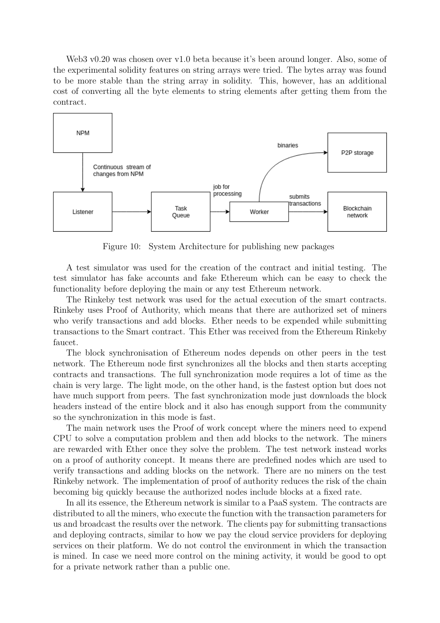Web3 v0.20 was chosen over v1.0 beta because it's been around longer. Also, some of the experimental solidity features on string arrays were tried. The bytes array was found to be more stable than the string array in solidity. This, however, has an additional cost of converting all the byte elements to string elements after getting them from the contract.



<span id="page-15-0"></span>Figure 10: System Architecture for publishing new packages

A test simulator was used for the creation of the contract and initial testing. The test simulator has fake accounts and fake Ethereum which can be easy to check the functionality before deploying the main or any test Ethereum network.

The Rinkeby test network was used for the actual execution of the smart contracts. Rinkeby uses Proof of Authority, which means that there are authorized set of miners who verify transactions and add blocks. Ether needs to be expended while submitting transactions to the Smart contract. This Ether was received from the Ethereum Rinkeby faucet.

The block synchronisation of Ethereum nodes depends on other peers in the test network. The Ethereum node first synchronizes all the blocks and then starts accepting contracts and transactions. The full synchronization mode requires a lot of time as the chain is very large. The light mode, on the other hand, is the fastest option but does not have much support from peers. The fast synchronization mode just downloads the block headers instead of the entire block and it also has enough support from the community so the synchronization in this mode is fast.

The main network uses the Proof of work concept where the miners need to expend CPU to solve a computation problem and then add blocks to the network. The miners are rewarded with Ether once they solve the problem. The test network instead works on a proof of authority concept. It means there are predefined nodes which are used to verify transactions and adding blocks on the network. There are no miners on the test Rinkeby network. The implementation of proof of authority reduces the risk of the chain becoming big quickly because the authorized nodes include blocks at a fixed rate.

In all its essence, the Ethereum network is similar to a PaaS system. The contracts are distributed to all the miners, who execute the function with the transaction parameters for us and broadcast the results over the network. The clients pay for submitting transactions and deploying contracts, similar to how we pay the cloud service providers for deploying services on their platform. We do not control the environment in which the transaction is mined. In case we need more control on the mining activity, it would be good to opt for a private network rather than a public one.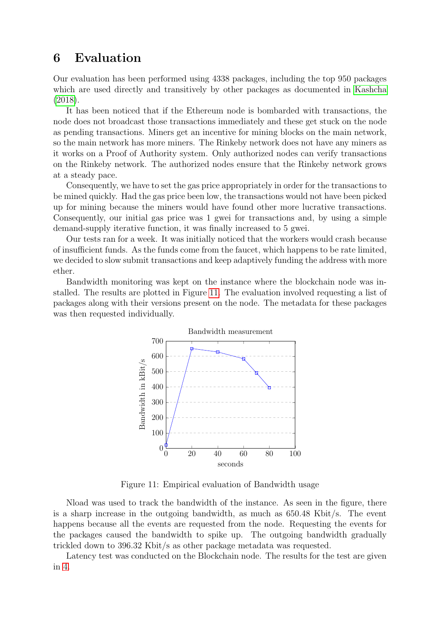### <span id="page-16-0"></span>6 Evaluation

Our evaluation has been performed using 4338 packages, including the top 950 packages which are used directly and transitively by other packages as documented in [Kashcha](#page-19-12) [\(2018\)](#page-19-12).

It has been noticed that if the Ethereum node is bombarded with transactions, the node does not broadcast those transactions immediately and these get stuck on the node as pending transactions. Miners get an incentive for mining blocks on the main network, so the main network has more miners. The Rinkeby network does not have any miners as it works on a Proof of Authority system. Only authorized nodes can verify transactions on the Rinkeby network. The authorized nodes ensure that the Rinkeby network grows at a steady pace.

Consequently, we have to set the gas price appropriately in order for the transactions to be mined quickly. Had the gas price been low, the transactions would not have been picked up for mining because the miners would have found other more lucrative transactions. Consequently, our initial gas price was 1 gwei for transactions and, by using a simple demand-supply iterative function, it was finally increased to 5 gwei.

Our tests ran for a week. It was initially noticed that the workers would crash because of insufficient funds. As the funds come from the faucet, which happens to be rate limited, we decided to slow submit transactions and keep adaptively funding the address with more ether.

Bandwidth monitoring was kept on the instance where the blockchain node was installed. The results are plotted in Figure [11.](#page-16-1) The evaluation involved requesting a list of packages along with their versions present on the node. The metadata for these packages was then requested individually.



<span id="page-16-1"></span>Figure 11: Empirical evaluation of Bandwidth usage

Nload was used to track the bandwidth of the instance. As seen in the figure, there is a sharp increase in the outgoing bandwidth, as much as 650.48 Kbit/s. The event happens because all the events are requested from the node. Requesting the events for the packages caused the bandwidth to spike up. The outgoing bandwidth gradually trickled down to 396.32 Kbit/s as other package metadata was requested.

Latency test was conducted on the Blockchain node. The results for the test are given in [4.](#page-17-0)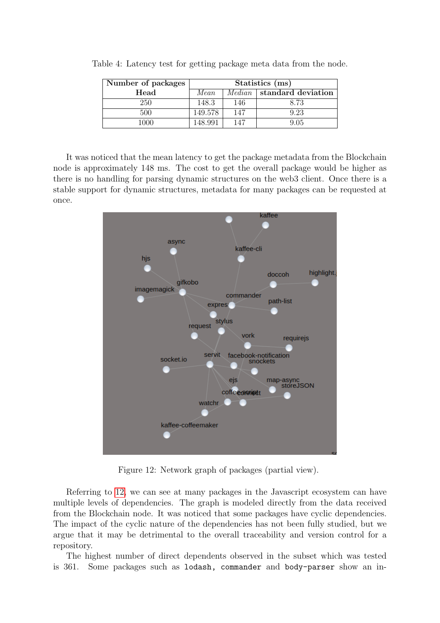<span id="page-17-0"></span>

| Number of packages | Statistics (ms) |               |                    |  |
|--------------------|-----------------|---------------|--------------------|--|
| Head               | Mean            | <i>Median</i> | standard deviation |  |
| 250                | 148.3           | 146           | 8.73               |  |
| 500                | 149.578         | 147           | 9.23               |  |
| 1000               | 148.991         | 147           | 9.05               |  |

Table 4: Latency test for getting package meta data from the node.

It was noticed that the mean latency to get the package metadata from the Blockchain node is approximately 148 ms. The cost to get the overall package would be higher as there is no handling for parsing dynamic structures on the web3 client. Once there is a stable support for dynamic structures, metadata for many packages can be requested at once.



Figure 12: Network graph of packages (partial view).

<span id="page-17-1"></span>Referring to [12,](#page-17-1) we can see at many packages in the Javascript ecosystem can have multiple levels of dependencies. The graph is modeled directly from the data received from the Blockchain node. It was noticed that some packages have cyclic dependencies. The impact of the cyclic nature of the dependencies has not been fully studied, but we argue that it may be detrimental to the overall traceability and version control for a repository.

The highest number of direct dependents observed in the subset which was tested is 361. Some packages such as lodash, commander and body-parser show an in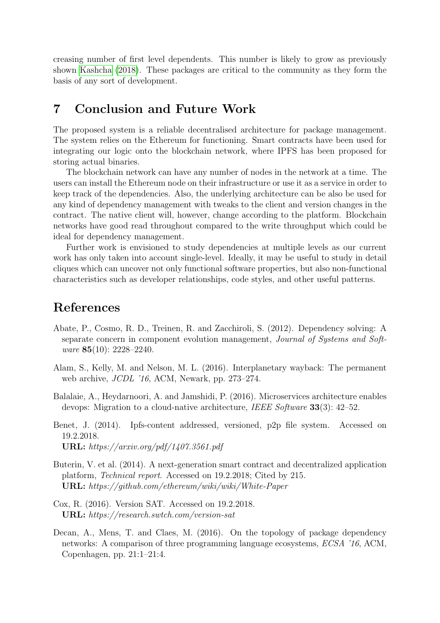creasing number of first level dependents. This number is likely to grow as previously shown [Kashcha](#page-19-12) [\(2018\)](#page-19-12). These packages are critical to the community as they form the basis of any sort of development.

### <span id="page-18-0"></span>7 Conclusion and Future Work

The proposed system is a reliable decentralised architecture for package management. The system relies on the Ethereum for functioning. Smart contracts have been used for integrating our logic onto the blockchain network, where IPFS has been proposed for storing actual binaries.

The blockchain network can have any number of nodes in the network at a time. The users can install the Ethereum node on their infrastructure or use it as a service in order to keep track of the dependencies. Also, the underlying architecture can be also be used for any kind of dependency management with tweaks to the client and version changes in the contract. The native client will, however, change according to the platform. Blockchain networks have good read throughout compared to the write throughput which could be ideal for dependency management.

Further work is envisioned to study dependencies at multiple levels as our current work has only taken into account single-level. Ideally, it may be useful to study in detail cliques which can uncover not only functional software properties, but also non-functional characteristics such as developer relationships, code styles, and other useful patterns.

### References

- <span id="page-18-3"></span>Abate, P., Cosmo, R. D., Treinen, R. and Zacchiroli, S. (2012). Dependency solving: A separate concern in component evolution management, Journal of Systems and Software 85(10): 2228–2240.
- <span id="page-18-7"></span>Alam, S., Kelly, M. and Nelson, M. L. (2016). Interplanetary wayback: The permanent web archive, JCDL '16, ACM, Newark, pp. 273–274.
- <span id="page-18-2"></span>Balalaie, A., Heydarnoori, A. and Jamshidi, P. (2016). Microservices architecture enables devops: Migration to a cloud-native architecture, IEEE Software 33(3): 42–52.
- <span id="page-18-6"></span>Benet, J. (2014). Ipfs-content addressed, versioned, p2p file system. Accessed on 19.2.2018. URL: https://arxiv.org/pdf/1407.3561.pdf
- <span id="page-18-4"></span>Buterin, V. et al. (2014). A next-generation smart contract and decentralized application platform, Technical report. Accessed on 19.2.2018; Cited by 215. URL: https://github.com/ethereum/wiki/wiki/White-Paper
- <span id="page-18-5"></span>Cox, R. (2016). Version SAT. Accessed on 19.2.2018. URL: https://research.swtch.com/version-sat
- <span id="page-18-1"></span>Decan, A., Mens, T. and Claes, M. (2016). On the topology of package dependency networks: A comparison of three programming language ecosystems, ECSA '16, ACM, Copenhagen, pp. 21:1–21:4.